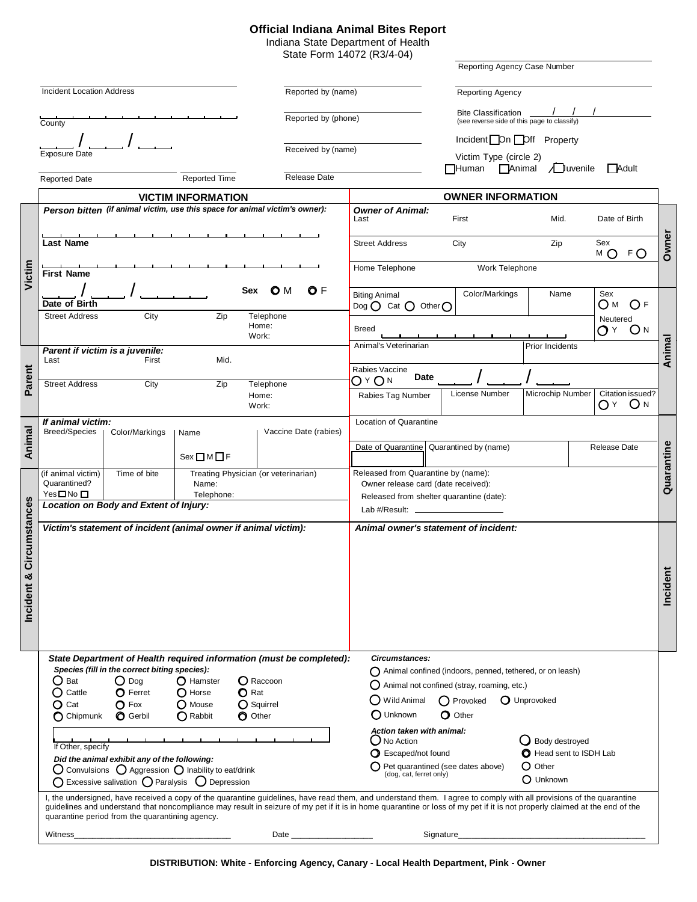## **Official Indiana Animal Bites Report**

Indiana State Department of Health State Form 14072 (R3/4-04)

|                                                                                                                                                                                                                                                                                                                                                                                                                                      |                                                                                                                                                                                                                                   |                                                                                                                                                                                                                   |                                                                 |                                                                                                                                    |                                                   |                            | Reporting Agency Case Number<br>Reporting Agency |                        |              |                  |            |
|--------------------------------------------------------------------------------------------------------------------------------------------------------------------------------------------------------------------------------------------------------------------------------------------------------------------------------------------------------------------------------------------------------------------------------------|-----------------------------------------------------------------------------------------------------------------------------------------------------------------------------------------------------------------------------------|-------------------------------------------------------------------------------------------------------------------------------------------------------------------------------------------------------------------|-----------------------------------------------------------------|------------------------------------------------------------------------------------------------------------------------------------|---------------------------------------------------|----------------------------|--------------------------------------------------|------------------------|--------------|------------------|------------|
|                                                                                                                                                                                                                                                                                                                                                                                                                                      | <b>Incident Location Address</b>                                                                                                                                                                                                  |                                                                                                                                                                                                                   |                                                                 |                                                                                                                                    | Reported by (name)                                |                            |                                                  |                        |              |                  |            |
|                                                                                                                                                                                                                                                                                                                                                                                                                                      |                                                                                                                                                                                                                                   |                                                                                                                                                                                                                   |                                                                 |                                                                                                                                    |                                                   | <b>Bite Classification</b> |                                                  |                        |              |                  |            |
|                                                                                                                                                                                                                                                                                                                                                                                                                                      | County                                                                                                                                                                                                                            |                                                                                                                                                                                                                   |                                                                 | Reported by (phone)                                                                                                                |                                                   |                            | (see reverse side of this page to classify)      |                        |              |                  |            |
|                                                                                                                                                                                                                                                                                                                                                                                                                                      |                                                                                                                                                                                                                                   |                                                                                                                                                                                                                   |                                                                 |                                                                                                                                    |                                                   |                            | Incident On Off Property                         |                        |              |                  |            |
|                                                                                                                                                                                                                                                                                                                                                                                                                                      | <b>Exposure Date</b>                                                                                                                                                                                                              | Received by (name)<br>Victim Type (circle 2)                                                                                                                                                                      |                                                                 |                                                                                                                                    |                                                   |                            |                                                  |                        |              |                  |            |
|                                                                                                                                                                                                                                                                                                                                                                                                                                      |                                                                                                                                                                                                                                   |                                                                                                                                                                                                                   |                                                                 |                                                                                                                                    |                                                   |                            | <b>TAnimal</b><br>$\Box$ Human                   | A <b>U</b> uvenile     | Adult        |                  |            |
|                                                                                                                                                                                                                                                                                                                                                                                                                                      | <b>Reported Date</b>                                                                                                                                                                                                              |                                                                                                                                                                                                                   | <b>Reported Time</b>                                            | <b>Release Date</b>                                                                                                                |                                                   |                            |                                                  |                        |              |                  |            |
|                                                                                                                                                                                                                                                                                                                                                                                                                                      | <b>VICTIM INFORMATION</b>                                                                                                                                                                                                         |                                                                                                                                                                                                                   |                                                                 |                                                                                                                                    | <b>OWNER INFORMATION</b>                          |                            |                                                  |                        |              |                  |            |
|                                                                                                                                                                                                                                                                                                                                                                                                                                      | Person bitten (if animal victim, use this space for animal victim's owner):                                                                                                                                                       | Last                                                                                                                                                                                                              | <b>Owner of Animal:</b><br>First                                |                                                                                                                                    | Mid.                                              | Date of Birth              |                                                  |                        |              |                  |            |
|                                                                                                                                                                                                                                                                                                                                                                                                                                      | <b>Last Name</b>                                                                                                                                                                                                                  |                                                                                                                                                                                                                   |                                                                 |                                                                                                                                    | <b>Street Address</b>                             |                            | City                                             | Zip                    | Sex<br>мO    | FO               | Owner      |
| Victim                                                                                                                                                                                                                                                                                                                                                                                                                               | <b>First Name</b>                                                                                                                                                                                                                 | Home Telephone                                                                                                                                                                                                    | Work Telephone                                                  |                                                                                                                                    |                                                   |                            |                                                  |                        |              |                  |            |
|                                                                                                                                                                                                                                                                                                                                                                                                                                      | Date of Birth                                                                                                                                                                                                                     |                                                                                                                                                                                                                   |                                                                 | O M<br>O F<br><b>Sex</b>                                                                                                           | <b>Biting Animal</b><br>Dog $O$ Cat $O$ Other $O$ |                            | Color/Markings                                   | Name                   | Sex<br>Ом    | O F              |            |
|                                                                                                                                                                                                                                                                                                                                                                                                                                      | <b>Street Address</b>                                                                                                                                                                                                             | City                                                                                                                                                                                                              | Zip                                                             | Telephone                                                                                                                          |                                                   |                            |                                                  |                        | Neutered     |                  |            |
|                                                                                                                                                                                                                                                                                                                                                                                                                                      |                                                                                                                                                                                                                                   |                                                                                                                                                                                                                   |                                                                 | Home:<br>Work:                                                                                                                     | <b>Breed</b>                                      |                            |                                                  |                        | $OY$ $ON$    |                  |            |
|                                                                                                                                                                                                                                                                                                                                                                                                                                      | Parent if victim is a juvenile:                                                                                                                                                                                                   |                                                                                                                                                                                                                   |                                                                 |                                                                                                                                    | Animal's Veterinarian                             |                            |                                                  | <b>Prior Incidents</b> |              |                  |            |
|                                                                                                                                                                                                                                                                                                                                                                                                                                      | Last                                                                                                                                                                                                                              | First                                                                                                                                                                                                             | Mid.                                                            |                                                                                                                                    |                                                   |                            |                                                  |                        |              |                  | Animal     |
| Parent                                                                                                                                                                                                                                                                                                                                                                                                                               |                                                                                                                                                                                                                                   |                                                                                                                                                                                                                   |                                                                 |                                                                                                                                    | Rabies Vaccine<br>Date                            |                            |                                                  |                        |              |                  |            |
|                                                                                                                                                                                                                                                                                                                                                                                                                                      | <b>Street Address</b>                                                                                                                                                                                                             | City                                                                                                                                                                                                              | Zip                                                             | Telephone                                                                                                                          | О≚Ом                                              |                            | License Number                                   | Microchip Number       |              | Citation issued? |            |
|                                                                                                                                                                                                                                                                                                                                                                                                                                      |                                                                                                                                                                                                                                   |                                                                                                                                                                                                                   |                                                                 | Home:<br>Work:                                                                                                                     | Rabies Tag Number                                 |                            |                                                  |                        | OY ON        |                  |            |
|                                                                                                                                                                                                                                                                                                                                                                                                                                      | If animal victim:                                                                                                                                                                                                                 |                                                                                                                                                                                                                   |                                                                 |                                                                                                                                    | Location of Quarantine                            |                            |                                                  |                        |              |                  |            |
| Animal                                                                                                                                                                                                                                                                                                                                                                                                                               | <b>Breed/Species</b><br>Color/Markings<br>Name                                                                                                                                                                                    |                                                                                                                                                                                                                   |                                                                 | Vaccine Date (rabies)                                                                                                              |                                                   |                            |                                                  |                        |              |                  |            |
|                                                                                                                                                                                                                                                                                                                                                                                                                                      |                                                                                                                                                                                                                                   |                                                                                                                                                                                                                   |                                                                 |                                                                                                                                    |                                                   |                            | Date of Quarantine   Quarantined by (name)       |                        | Release Date |                  |            |
|                                                                                                                                                                                                                                                                                                                                                                                                                                      |                                                                                                                                                                                                                                   |                                                                                                                                                                                                                   | Sex <b>DM</b> F                                                 |                                                                                                                                    |                                                   |                            |                                                  |                        |              |                  |            |
|                                                                                                                                                                                                                                                                                                                                                                                                                                      | (if animal victim)                                                                                                                                                                                                                | Time of bite<br>Treating Physician (or veterinarian)<br>Name:                                                                                                                                                     |                                                                 |                                                                                                                                    | Released from Quarantine by (name):               |                            |                                                  |                        |              |                  | Quarantine |
|                                                                                                                                                                                                                                                                                                                                                                                                                                      | Quarantined?<br>Yes□No□                                                                                                                                                                                                           | Owner release card (date received):                                                                                                                                                                               |                                                                 |                                                                                                                                    |                                                   |                            |                                                  |                        |              |                  |            |
|                                                                                                                                                                                                                                                                                                                                                                                                                                      | Location on Body and Extent of Injury:                                                                                                                                                                                            | Released from shelter quarantine (date):                                                                                                                                                                          |                                                                 |                                                                                                                                    |                                                   |                            |                                                  |                        |              |                  |            |
|                                                                                                                                                                                                                                                                                                                                                                                                                                      |                                                                                                                                                                                                                                   |                                                                                                                                                                                                                   |                                                                 |                                                                                                                                    |                                                   |                            |                                                  |                        |              |                  |            |
| Circumstances<br>Incident &                                                                                                                                                                                                                                                                                                                                                                                                          |                                                                                                                                                                                                                                   |                                                                                                                                                                                                                   | Victim's statement of incident (animal owner if animal victim): |                                                                                                                                    | Animal owner's statement of incident:             |                            |                                                  |                        |              |                  | Incident   |
|                                                                                                                                                                                                                                                                                                                                                                                                                                      | State Department of Health required information (must be completed):<br>Species (fill in the correct biting species):<br>( ) Bat<br>Cattle<br>O<br>$\bf{O}$ Cat                                                                   | Circumstances:<br>$\bigcap$ Wild Animal                                                                                                                                                                           |                                                                 | $\bigcap$ Animal confined (indoors, penned, tethered, or on leash)<br>() Animal not confined (stray, roaming, etc.)<br>() Provoked | O Unprovoked                                      |                            |                                                  |                        |              |                  |            |
|                                                                                                                                                                                                                                                                                                                                                                                                                                      | $\bigcap$ Chipmunk                                                                                                                                                                                                                | $O$ Fox<br><b>O</b> Gerbil                                                                                                                                                                                        | O Mouse<br>$\bigcap$ Rabbit                                     | $\Omega$ Squirrel<br>O Other                                                                                                       | O Unknown                                         |                            | $\Omega$ Other                                   |                        |              |                  |            |
|                                                                                                                                                                                                                                                                                                                                                                                                                                      | If Other, specify<br>Did the animal exhibit any of the following:<br>$\bigcirc$ Convulsions $\bigcirc$ Aggression $\bigcirc$ Inability to eat/drink<br>$\bigcirc$ Excessive salivation $\bigcirc$ Paralysis $\bigcirc$ Depression | Action taken with animal:<br>( ) No Action<br>Body destroyed<br><b>O</b> Head sent to ISDH Lab<br>Scaped/not found<br>$\Omega$ Other<br>Pet quarantined (see dates above)<br>(dog, cat, ferret only)<br>O Unknown |                                                                 |                                                                                                                                    |                                                   |                            |                                                  |                        |              |                  |            |
| I, the undersigned, have received a copy of the quarantine guidelines, have read them, and understand them. I agree to comply with all provisions of the quarantine<br>guidelines and understand that noncompliance may result in seizure of my pet if it is in home quarantine or loss of my pet if it is not properly claimed at the end of the<br>quarantine period from the quarantining agency.<br>Witness<br>Date<br>Signature |                                                                                                                                                                                                                                   |                                                                                                                                                                                                                   |                                                                 |                                                                                                                                    |                                                   |                            |                                                  |                        |              |                  |            |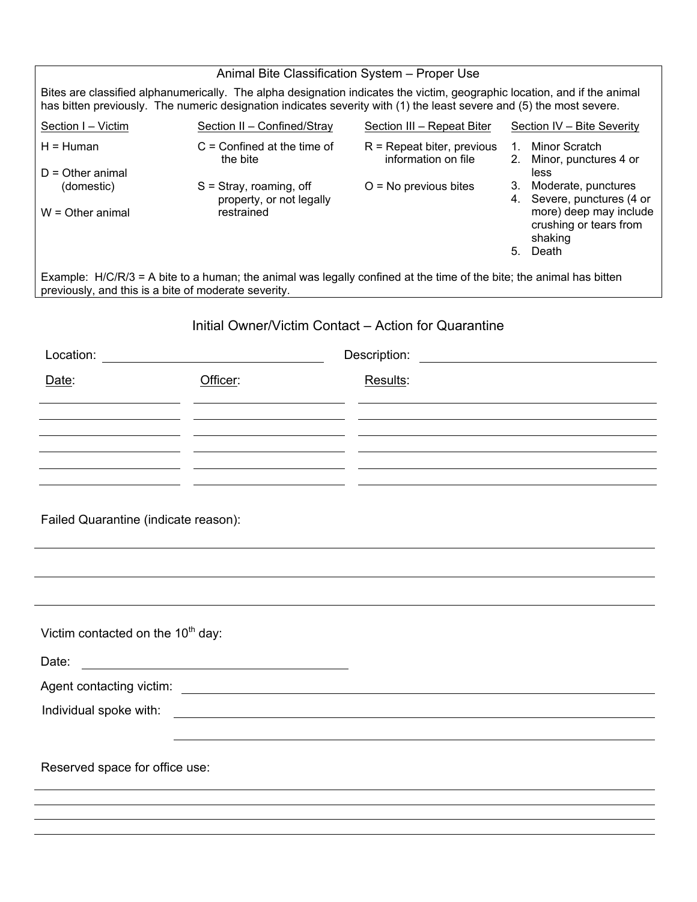|                                                                                                                                                                                                                                                   | Animal Bite Classification System - Proper Use        |                                                     |                                                                         |  |  |  |  |  |  |  |  |  |
|---------------------------------------------------------------------------------------------------------------------------------------------------------------------------------------------------------------------------------------------------|-------------------------------------------------------|-----------------------------------------------------|-------------------------------------------------------------------------|--|--|--|--|--|--|--|--|--|
| Bites are classified alphanumerically. The alpha designation indicates the victim, geographic location, and if the animal<br>has bitten previously. The numeric designation indicates severity with (1) the least severe and (5) the most severe. |                                                       |                                                     |                                                                         |  |  |  |  |  |  |  |  |  |
| Section I - Victim                                                                                                                                                                                                                                | Section II - Confined/Stray                           | Section III - Repeat Biter                          | Section IV - Bite Severity                                              |  |  |  |  |  |  |  |  |  |
| $H = Huma$                                                                                                                                                                                                                                        | $C =$ Confined at the time of<br>the bite             | $R$ = Repeat biter, previous<br>information on file | 1. Minor Scratch<br>Minor, punctures 4 or<br>2.                         |  |  |  |  |  |  |  |  |  |
| $D =$ Other animal<br>(domestic)                                                                                                                                                                                                                  | $S =$ Stray, roaming, off<br>property, or not legally | $O = No$ previous bites                             | less<br>3. Moderate, punctures<br>4. Severe, punctures (4 or            |  |  |  |  |  |  |  |  |  |
| $W =$ Other animal                                                                                                                                                                                                                                | restrained                                            |                                                     | more) deep may include<br>crushing or tears from<br>shaking<br>5. Death |  |  |  |  |  |  |  |  |  |
| Example: H/C/R/3 = A bite to a human; the animal was legally confined at the time of the bite; the animal has bitten<br>previously, and this is a bite of moderate severity.                                                                      |                                                       |                                                     |                                                                         |  |  |  |  |  |  |  |  |  |
| Initial Owner/Victim Contact - Action for Quarantine                                                                                                                                                                                              |                                                       |                                                     |                                                                         |  |  |  |  |  |  |  |  |  |
| Location:<br>Description:<br><u> 1989 - John Stein, mars and de Brandenberg and de Brandenberg and de Brandenberg and de Brandenberg and de Br</u>                                                                                                |                                                       |                                                     |                                                                         |  |  |  |  |  |  |  |  |  |
| Date:                                                                                                                                                                                                                                             | Officer:                                              | Results:                                            |                                                                         |  |  |  |  |  |  |  |  |  |
|                                                                                                                                                                                                                                                   |                                                       |                                                     |                                                                         |  |  |  |  |  |  |  |  |  |
|                                                                                                                                                                                                                                                   |                                                       |                                                     |                                                                         |  |  |  |  |  |  |  |  |  |
|                                                                                                                                                                                                                                                   |                                                       |                                                     |                                                                         |  |  |  |  |  |  |  |  |  |
|                                                                                                                                                                                                                                                   |                                                       |                                                     |                                                                         |  |  |  |  |  |  |  |  |  |
| Failed Quarantine (indicate reason):                                                                                                                                                                                                              |                                                       |                                                     |                                                                         |  |  |  |  |  |  |  |  |  |
|                                                                                                                                                                                                                                                   |                                                       |                                                     |                                                                         |  |  |  |  |  |  |  |  |  |
|                                                                                                                                                                                                                                                   |                                                       |                                                     |                                                                         |  |  |  |  |  |  |  |  |  |
| Victim contacted on the 10 <sup>th</sup> day:                                                                                                                                                                                                     |                                                       |                                                     |                                                                         |  |  |  |  |  |  |  |  |  |
| Date:                                                                                                                                                                                                                                             |                                                       |                                                     |                                                                         |  |  |  |  |  |  |  |  |  |
| Agent contacting victim: <u>contaction</u> and contact in the set of the set of the set of the set of the set of the set of the set of the set of the set of the set of the set of the set of the set of the set of the set of the                |                                                       |                                                     |                                                                         |  |  |  |  |  |  |  |  |  |
| Individual spoke with:<br><u> 1989 - Andrea Barbara, poeta esperanto-</u>                                                                                                                                                                         |                                                       |                                                     |                                                                         |  |  |  |  |  |  |  |  |  |
|                                                                                                                                                                                                                                                   |                                                       |                                                     |                                                                         |  |  |  |  |  |  |  |  |  |
| Reserved space for office use:                                                                                                                                                                                                                    |                                                       |                                                     |                                                                         |  |  |  |  |  |  |  |  |  |
|                                                                                                                                                                                                                                                   |                                                       |                                                     |                                                                         |  |  |  |  |  |  |  |  |  |
|                                                                                                                                                                                                                                                   |                                                       |                                                     |                                                                         |  |  |  |  |  |  |  |  |  |